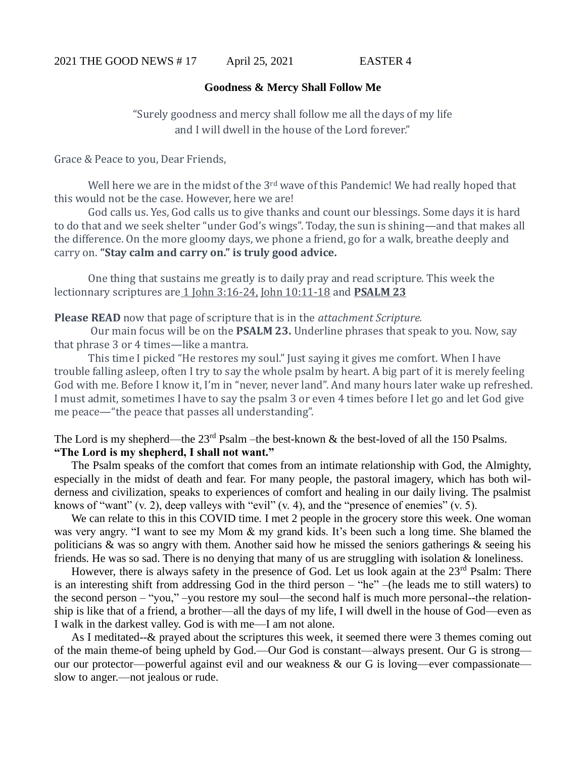## **Goodness & Mercy Shall Follow Me**

"Surely goodness and mercy shall follow me all the days of my life and I will dwell in the house of the Lord forever."

Grace & Peace to you, Dear Friends,

Well here we are in the midst of the 3<sup>rd</sup> wave of this Pandemic! We had really hoped that this would not be the case. However, here we are!

God calls us. Yes, God calls us to give thanks and count our blessings. Some days it is hard to do that and we seek shelter "under God's wings". Today, the sun is shining—and that makes all the difference. On the more gloomy days, we phone a friend, go for a walk, breathe deeply and carry on. **"Stay calm and carry on." is truly good advice.** 

One thing that sustains me greatly is to daily pray and read scripture. This week the lectionnary scriptures are 1 John 3:16-24, John 10:11-18 and **PSALM 23** 

**Please READ** now that page of scripture that is in the *attachment Scripture.*

Our main focus will be on the **PSALM 23.** Underline phrases that speak to you. Now, say that phrase 3 or 4 times—like a mantra.

This time I picked "He restores my soul." Just saying it gives me comfort. When I have trouble falling asleep, often I try to say the whole psalm by heart. A big part of it is merely feeling God with me. Before I know it, I'm in "never, never land". And many hours later wake up refreshed. I must admit, sometimes I have to say the psalm 3 or even 4 times before I let go and let God give me peace—"the peace that passes all understanding".

The Lord is my shepherd—the  $23<sup>rd</sup>$  Psalm –the best-known & the best-loved of all the 150 Psalms. **"The Lord is my shepherd, I shall not want."**

The Psalm speaks of the comfort that comes from an intimate relationship with God, the Almighty, especially in the midst of death and fear. For many people, the pastoral imagery, which has both wilderness and civilization, speaks to experiences of comfort and healing in our daily living. The psalmist knows of "want" (v. 2), deep valleys with "evil" (v. 4), and the "presence of enemies" (v. 5).

We can relate to this in this COVID time. I met 2 people in the grocery store this week. One woman was very angry. "I want to see my Mom & my grand kids. It's been such a long time. She blamed the politicians  $\&$  was so angry with them. Another said how he missed the seniors gatherings  $\&$  seeing his friends. He was so sad. There is no denying that many of us are struggling with isolation  $\&$  loneliness.

However, there is always safety in the presence of God. Let us look again at the  $23<sup>rd</sup>$  Psalm: There is an interesting shift from addressing God in the third person – "he" –(he leads me to still waters) to the second person – "you," –you restore my soul—the second half is much more personal--the relationship is like that of a friend, a brother—all the days of my life, I will dwell in the house of God—even as I walk in the darkest valley. God is with me—I am not alone.

As I meditated--& prayed about the scriptures this week, it seemed there were 3 themes coming out of the main theme-of being upheld by God.—Our God is constant—always present. Our G is strong our our protector—powerful against evil and our weakness & our G is loving—ever compassionate slow to anger.—not jealous or rude.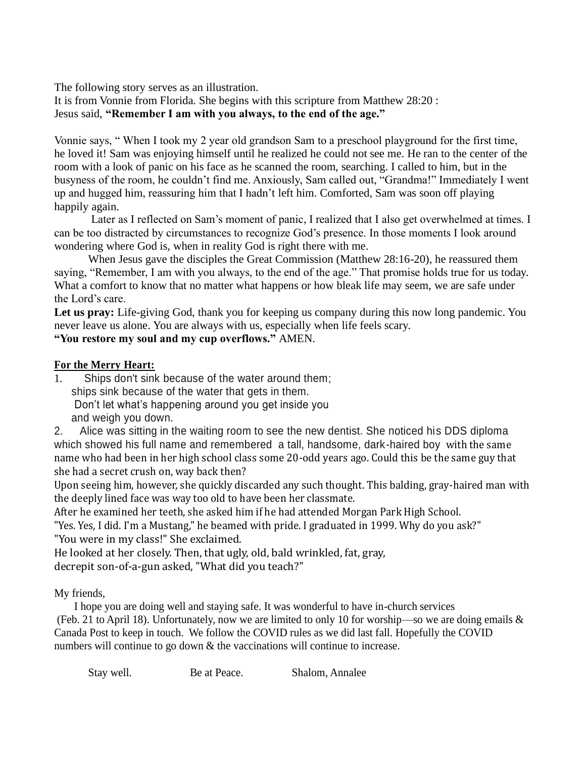The following story serves as an illustration.

It is from Vonnie from Florida. She begins with this scripture from Matthew 28:20 : Jesus said, **"Remember I am with you always, to the end of the age."** 

Vonnie says, " When I took my 2 year old grandson Sam to a preschool playground for the first time, he loved it! Sam was enjoying himself until he realized he could not see me. He ran to the center of the room with a look of panic on his face as he scanned the room, searching. I called to him, but in the busyness of the room, he couldn't find me. Anxiously, Sam called out, "Grandma!" Immediately I went up and hugged him, reassuring him that I hadn't left him. Comforted, Sam was soon off playing happily again.

Later as I reflected on Sam's moment of panic, I realized that I also get overwhelmed at times. I can be too distracted by circumstances to recognize God's presence. In those moments I look around wondering where God is, when in reality God is right there with me.

When Jesus gave the disciples the Great Commission (Matthew 28:16-20), he reassured them saying, "Remember, I am with you always, to the end of the age." That promise holds true for us today. What a comfort to know that no matter what happens or how bleak life may seem, we are safe under the Lord's care.

Let us pray: Life-giving God, thank you for keeping us company during this now long pandemic. You never leave us alone. You are always with us, especially when life feels scary.

**"You restore my soul and my cup overflows."** AMEN.

## **For the Merry Heart:**

1. Ships don't sink because of the water around them; ships sink because of the water that gets in them. Don't let what's happening around you get inside you and weigh you down.

2. Alice was sitting in the waiting room to see the new dentist. She noticed his DDS diploma which showed his full name and remembered a tall, handsome, dark-haired boy with the same name who had been in her high school class some 20-odd years ago. Could this be the same guy that she had a secret crush on, way back then?

Upon seeing him, however, she quickly discarded any such thought. This balding, gray-haired man with the deeply lined face was way too old to have been her classmate.

After he examined her teeth, she asked him if he had attended Morgan Park High School.

"Yes. Yes, I did. I'm a Mustang," he beamed with pride. I graduated in 1999. Why do you ask?" "You were in my class!" She exclaimed.

He looked at her closely. Then, that ugly, old, bald wrinkled, fat, gray, decrepit son-of-a-gun asked, "What did you teach?"

## My friends,

I hope you are doing well and staying safe. It was wonderful to have in-church services (Feb. 21 to April 18). Unfortunately, now we are limited to only 10 for worship—so we are doing emails  $\&$ Canada Post to keep in touch. We follow the COVID rules as we did last fall. Hopefully the COVID numbers will continue to go down & the vaccinations will continue to increase.

Stay well. Be at Peace. Shalom, Annalee